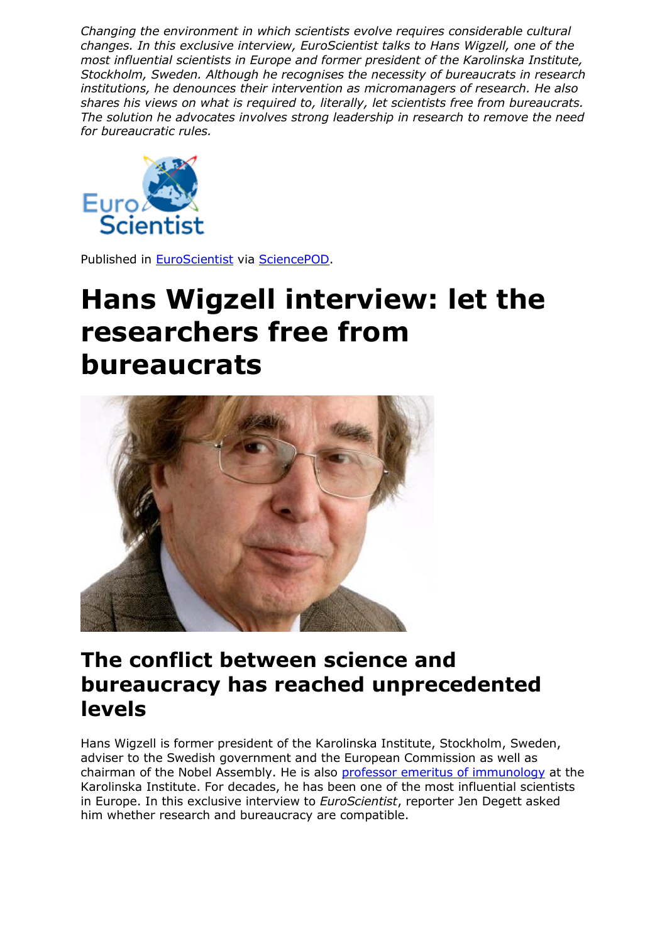*Changing the environment in which scientists evolve requires considerable cultural changes. In this exclusive interview, EuroScientist talks to Hans Wigzell, one of the most influential scientists in Europe and former president of the Karolinska Institute, Stockholm, Sweden. Although he recognises the necessity of bureaucrats in research institutions, he denounces their intervention as micromanagers of research. He also shares his views on what is required to, literally, let scientists free from bureaucrats. The solution he advocates involves strong leadership in research to remove the need for bureaucratic rules.*



Published in [EuroScientist](http://www.euroscientist.com/hans-wigzell-interview-let-researchers-free-from-bureaucrats/) via [SciencePOD.](http://www.sciencepod.net/)

## **Hans Wigzell interview: let the researchers free from bureaucrats**



## **The conflict between science and bureaucracy has reached unprecedented levels**

Hans Wigzell is former president of the Karolinska Institute, Stockholm, Sweden, adviser to the Swedish government and the European Commission as well as chairman of the Nobel Assembly. He is also [professor emeritus of immunology](http://f1000.com/prime/thefaculty/member/499999771097515390) at the Karolinska Institute. For decades, he has been one of the most influential scientists in Europe. In this exclusive interview to *EuroScientist*, reporter Jen Degett asked him whether research and bureaucracy are compatible.